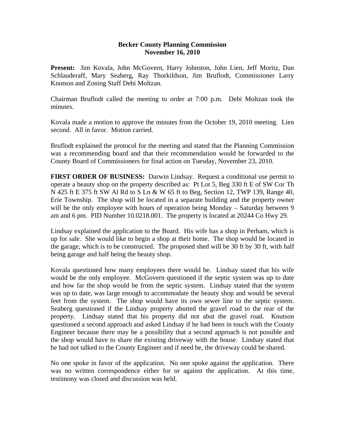## **Becker County Planning Commission November 16, 2010**

**Present:** Jim Kovala, John McGovern, Harry Johnston, John Lien, Jeff Moritz, Dan Schlauderaff, Mary Seaberg, Ray Thorkildson, Jim Bruflodt, Commissioner Larry Knutson and Zoning Staff Debi Moltzan.

Chairman Bruflodt called the meeting to order at 7:00 p.m. Debi Moltzan took the minutes.

Kovala made a motion to approve the minutes from the October 19, 2010 meeting. Lien second. All in favor. Motion carried.

Bruflodt explained the protocol for the meeting and stated that the Planning Commission was a recommending board and that their recommendation would be forwarded to the County Board of Commissioners for final action on Tuesday, November 23, 2010.

**FIRST ORDER OF BUSINESS:** Darwin Lindsay. Request a conditional use permit to operate a beauty shop on the property described as: Pt Lot 5, Beg 330 ft E of SW Cor Th N 425 ft E 375 ft SW Al Rd to S Ln & W 65 ft to Beg, Section 12, TWP 139, Range 40, Erie Township. The shop will be located in a separate building and the property owner will be the only employee with hours of operation being Monday – Saturday between 9 am and 6 pm. PID Number 10.0218.001. The property is located at 20244 Co Hwy 29.

Lindsay explained the application to the Board. His wife has a shop in Perham, which is up for sale. She would like to begin a shop at their home. The shop would be located in the garage, which is to be constructed. The proposed shed will be 30 ft by 30 ft, with half being garage and half being the beauty shop.

Kovala questioned how many employees there would be. Lindsay stated that his wife would be the only employee. McGovern questioned if the septic system was up to date and how far the shop would be from the septic system. Lindsay stated that the system was up to date, was large enough to accommodate the beauty shop and would be several feet from the system. The shop would have its own sewer line to the septic system. Seaberg questioned if the Lindsay property abutted the gravel road to the rear of the property. Lindsay stated that his property did not abut the gravel road. Knutson questioned a second approach and asked Lindsay if he had been in touch with the County Engineer because there may be a possibility that a second approach is not possible and the shop would have to share the existing driveway with the house. Lindsay stated that he had not talked to the County Engineer and if need be, the driveway could be shared.

No one spoke in favor of the application. No one spoke against the application. There was no written correspondence either for or against the application. At this time, testimony was closed and discussion was held.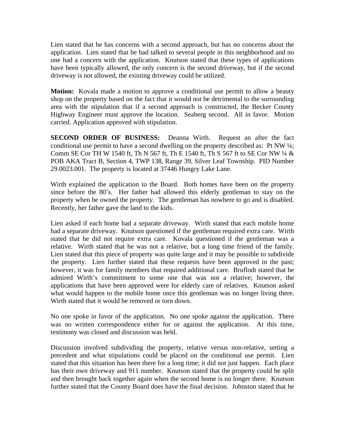Lien stated that he has concerns with a second approach, but has no concerns about the application. Lien stated that he had talked to several people in this neighborhood and no one had a concern with the application. Knutson stated that these types of applications have been typically allowed, the only concern is the second driveway, but if the second driveway is not allowed, the existing driveway could be utilized.

**Motion:** Kovala made a motion to approve a conditional use permit to allow a beauty shop on the property based on the fact that it would not be detrimental to the surrounding area with the stipulation that if a second approach is constructed, the Becker County Highway Engineer must approve the location. Seaberg second. All in favor. Motion carried. Application approved with stipulation.

**SECOND ORDER OF BUSINESS:** Deanna Wirth. Request an after the fact conditional use permit to have a second dwelling on the property described as: Pt NW  $\frac{1}{4}$ ; Comm SE Cor TH W 1540 ft, Th N 567 ft, Th E 1540 ft, Th S 567 ft to SE Cor NW ¼ & POB AKA Tract B, Section 4, TWP 138, Range 39, Silver Leaf Township. PID Number 29.0023.001. The property is located at 37446 Hungry Lake Lane.

Wirth explained the application to the Board. Both homes have been on the property since before the 80's. Her father had allowed this elderly gentleman to stay on the property when he owned the property. The gentleman has nowhere to go and is disabled. Recently, her father gave the land to the kids.

Lien asked if each home had a separate driveway. Wirth stated that each mobile home had a separate driveway. Knutson questioned if the gentleman required extra care. Wirth stated that he did not require extra care. Kovala questioned if the gentleman was a relative. Wirth stated that he was not a relative, but a long time friend of the family. Lien stated that this piece of property was quite large and it may be possible to subdivide the property. Lien further stated that these requests have been approved in the past; however, it was for family members that required additional care. Bruflodt stated that he admired Wirth's commitment to some one that was not a relative; however, the applications that have been approved were for elderly care of relatives. Knutson asked what would happen to the mobile home once this gentleman was no longer living there. Wirth stated that it would be removed or torn down.

No one spoke in favor of the application. No one spoke against the application. There was no written correspondence either for or against the application. At this time, testimony was closed and discussion was held.

Discussion involved subdividing the property, relative versus non-relative, setting a precedent and what stipulations could be placed on the conditional use permit. Lien stated that this situation has been there for a long time; it did not just happen. Each place has their own driveway and 911 number. Knutson stated that the property could be split and then brought back together again when the second home is no longer there. Knutson further stated that the County Board does have the final decision. Johnston stated that he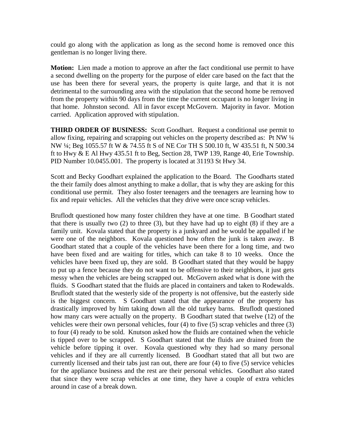could go along with the application as long as the second home is removed once this gentleman is no longer living there.

**Motion:** Lien made a motion to approve an after the fact conditional use permit to have a second dwelling on the property for the purpose of elder care based on the fact that the use has been there for several years, the property is quite large, and that it is not detrimental to the surrounding area with the stipulation that the second home be removed from the property within 90 days from the time the current occupant is no longer living in that home. Johnston second. All in favor except McGovern. Majority in favor. Motion carried. Application approved with stipulation.

**THIRD ORDER OF BUSINESS:** Scott Goodhart. Request a conditional use permit to allow fixing, repairing and scrapping out vehicles on the property described as: Pt NW ¼ NW ¼; Beg 1055.57 ft W & 74.55 ft S of NE Cor TH S 500.10 ft, W 435.51 ft, N 500.34 ft to Hwy & E Al Hwy 435.51 ft to Beg, Section 28, TWP 139, Range 40, Erie Township. PID Number 10.0455.001. The property is located at 31193 St Hwy 34.

Scott and Becky Goodhart explained the application to the Board. The Goodharts stated the their family does almost anything to make a dollar, that is why they are asking for this conditional use permit. They also foster teenagers and the teenagers are learning how to fix and repair vehicles. All the vehicles that they drive were once scrap vehicles.

Bruflodt questioned how many foster children they have at one time. B Goodhart stated that there is usually two  $(2)$  to three  $(3)$ , but they have had up to eight  $(8)$  if they are a family unit. Kovala stated that the property is a junkyard and he would be appalled if he were one of the neighbors. Kovala questioned how often the junk is taken away. B Goodhart stated that a couple of the vehicles have been there for a long time, and two have been fixed and are waiting for titles, which can take 8 to 10 weeks. Once the vehicles have been fixed up, they are sold. B Goodhart stated that they would be happy to put up a fence because they do not want to be offensive to their neighbors, it just gets messy when the vehicles are being scrapped out. McGovern asked what is done with the fluids. S Goodhart stated that the fluids are placed in containers and taken to Rodewalds. Bruflodt stated that the westerly side of the property is not offensive, but the easterly side is the biggest concern. S Goodhart stated that the appearance of the property has drastically improved by him taking down all the old turkey barns. Bruflodt questioned how many cars were actually on the property. B Goodhart stated that twelve (12) of the vehicles were their own personal vehicles, four (4) to five (5) scrap vehicles and three (3) to four (4) ready to be sold. Knutson asked how the fluids are contained when the vehicle is tipped over to be scrapped. S Goodhart stated that the fluids are drained from the vehicle before tipping it over. Kovala questioned why they had so many personal vehicles and if they are all currently licensed. B Goodhart stated that all but two are currently licensed and their tabs just ran out, there are four (4) to five (5) service vehicles for the appliance business and the rest are their personal vehicles. Goodhart also stated that since they were scrap vehicles at one time, they have a couple of extra vehicles around in case of a break down.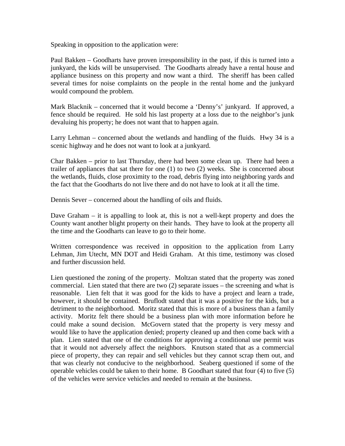Speaking in opposition to the application were:

Paul Bakken – Goodharts have proven irresponsibility in the past, if this is turned into a junkyard, the kids will be unsupervised. The Goodharts already have a rental house and appliance business on this property and now want a third. The sheriff has been called several times for noise complaints on the people in the rental home and the junkyard would compound the problem.

Mark Blacknik – concerned that it would become a 'Denny's' junkyard. If approved, a fence should be required. He sold his last property at a loss due to the neighbor's junk devaluing his property; he does not want that to happen again.

Larry Lehman – concerned about the wetlands and handling of the fluids. Hwy 34 is a scenic highway and he does not want to look at a junkyard.

Char Bakken – prior to last Thursday, there had been some clean up. There had been a trailer of appliances that sat there for one (1) to two (2) weeks. She is concerned about the wetlands, fluids, close proximity to the road, debris flying into neighboring yards and the fact that the Goodharts do not live there and do not have to look at it all the time.

Dennis Sever – concerned about the handling of oils and fluids.

Dave Graham – it is appalling to look at, this is not a well-kept property and does the County want another blight property on their hands. They have to look at the property all the time and the Goodharts can leave to go to their home.

Written correspondence was received in opposition to the application from Larry Lehman, Jim Utecht, MN DOT and Heidi Graham. At this time, testimony was closed and further discussion held.

Lien questioned the zoning of the property. Moltzan stated that the property was zoned commercial. Lien stated that there are two (2) separate issues – the screening and what is reasonable. Lien felt that it was good for the kids to have a project and learn a trade, however, it should be contained. Bruflodt stated that it was a positive for the kids, but a detriment to the neighborhood. Moritz stated that this is more of a business than a family activity. Moritz felt there should be a business plan with more information before he could make a sound decision. McGovern stated that the property is very messy and would like to have the application denied; property cleaned up and then come back with a plan. Lien stated that one of the conditions for approving a conditional use permit was that it would not adversely affect the neighbors. Knutson stated that as a commercial piece of property, they can repair and sell vehicles but they cannot scrap them out, and that was clearly not conducive to the neighborhood. Seaberg questioned if some of the operable vehicles could be taken to their home. B Goodhart stated that four (4) to five (5) of the vehicles were service vehicles and needed to remain at the business.